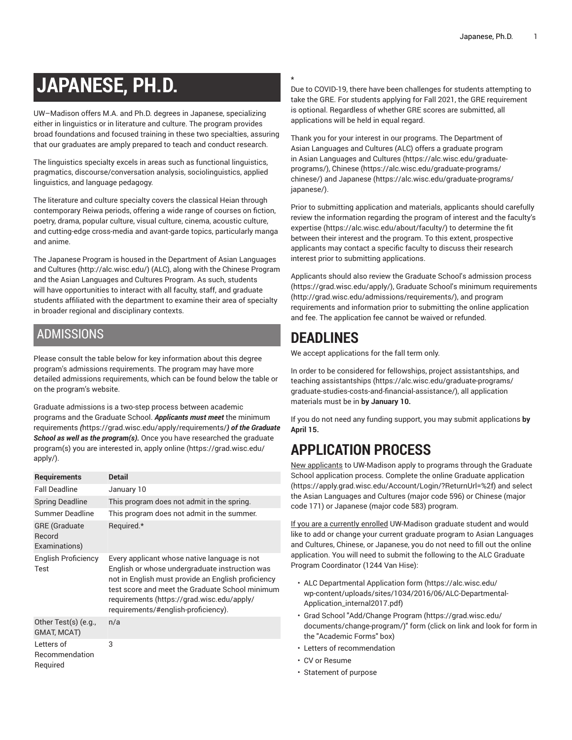# **JAPANESE, PH.D.**

UW–Madison offers M.A. and Ph.D. degrees in Japanese, specializing either in linguistics or in literature and culture. The program provides broad foundations and focused training in these two specialties, assuring that our graduates are amply prepared to teach and conduct research.

The linguistics specialty excels in areas such as functional linguistics, pragmatics, discourse/conversation analysis, sociolinguistics, applied linguistics, and language pedagogy.

The literature and culture specialty covers the classical Heian through contemporary Reiwa periods, offering a wide range of courses on fiction, poetry, drama, popular culture, visual culture, cinema, acoustic culture, and cutting-edge cross-media and avant-garde topics, particularly manga and anime.

The Japanese Program is housed in the [Department](http://alc.wisc.edu/) of Asian Languages and [Cultures](http://alc.wisc.edu/) [\(http://alc.wisc.edu/](http://alc.wisc.edu/)) (ALC), along with the Chinese Program and the Asian Languages and Cultures Program. As such, students will have opportunities to interact with all faculty, staff, and graduate students affiliated with the department to examine their area of specialty in broader regional and disciplinary contexts.

### ADMISSIONS

Please consult the table below for key information about this degree program's admissions requirements. The program may have more detailed admissions requirements, which can be found below the table or on the program's website.

Graduate admissions is a two-step process between academic programs and the Graduate School. *Applicants must meet* [the minimum](https://grad.wisc.edu/apply/requirements/) [requirements](https://grad.wisc.edu/apply/requirements/) *(*<https://grad.wisc.edu/apply/requirements/>*) of the Graduate School as well as the program(s).* Once you have researched the graduate program(s) you are interested in, [apply online \(https://grad.wisc.edu/](https://grad.wisc.edu/apply/) [apply/\)](https://grad.wisc.edu/apply/).

| <b>Requirements</b>                             | <b>Detail</b>                                                                                                                                                                                                                                                                                |  |
|-------------------------------------------------|----------------------------------------------------------------------------------------------------------------------------------------------------------------------------------------------------------------------------------------------------------------------------------------------|--|
| <b>Fall Deadline</b>                            | January 10                                                                                                                                                                                                                                                                                   |  |
| <b>Spring Deadline</b>                          | This program does not admit in the spring.                                                                                                                                                                                                                                                   |  |
| Summer Deadline                                 | This program does not admit in the summer.                                                                                                                                                                                                                                                   |  |
| <b>GRE</b> (Graduate<br>Record<br>Examinations) | Required.*                                                                                                                                                                                                                                                                                   |  |
| English Proficiency<br>Test                     | Every applicant whose native language is not<br>English or whose undergraduate instruction was<br>not in English must provide an English proficiency<br>test score and meet the Graduate School minimum<br>requirements (https://grad.wisc.edu/apply/<br>requirements/#english-proficiency). |  |
| Other Test(s) (e.g.,<br>GMAT, MCAT)             | n/a                                                                                                                                                                                                                                                                                          |  |
| Letters of<br>Recommendation<br>Required        | 3                                                                                                                                                                                                                                                                                            |  |

#### **\***

Due to COVID-19, there have been challenges for students attempting to take the GRE. For students applying for Fall 2021, the GRE requirement is optional. Regardless of whether GRE scores are submitted, all applications will be held in equal regard.

Thank you for your interest in our programs. The Department of Asian Languages and Cultures (ALC) offers a graduate program in Asian [Languages](https://alc.wisc.edu/graduate-programs/) and Cultures ([https://alc.wisc.edu/graduate](https://alc.wisc.edu/graduate-programs/)[programs/](https://alc.wisc.edu/graduate-programs/)), [Chinese](https://alc.wisc.edu/graduate-programs/chinese/) ([https://alc.wisc.edu/graduate-programs/](https://alc.wisc.edu/graduate-programs/chinese/) [chinese/\)](https://alc.wisc.edu/graduate-programs/chinese/) and [Japanese \(https://alc.wisc.edu/graduate-programs/](https://alc.wisc.edu/graduate-programs/japanese/) [japanese/](https://alc.wisc.edu/graduate-programs/japanese/)).

Prior to submitting application and materials, applicants should carefully review the information regarding the program of interest and the [faculty's](https://alc.wisc.edu/about/faculty/) [expertise](https://alc.wisc.edu/about/faculty/) [\(https://alc.wisc.edu/about/faculty/\)](https://alc.wisc.edu/about/faculty/) to determine the fit between their interest and the program. To this extent, prospective applicants may contact a specific faculty to discuss their research interest prior to submitting applications.

Applicants should also review the Graduate School's [admission](https://grad.wisc.edu/apply/) process [\(https://grad.wisc.edu/apply/\)](https://grad.wisc.edu/apply/), Graduate School's minimum [requirements](http://grad.wisc.edu/admissions/requirements/) [\(http://grad.wisc.edu/admissions/requirements/\)](http://grad.wisc.edu/admissions/requirements/), and program requirements and information prior to submitting the online application and fee. The application fee cannot be waived or refunded.

# **DEADLINES**

We accept applications for the fall term only.

In order to be considered for fellowships, project [assistantships,](https://alc.wisc.edu/graduate-programs/graduate-studies-costs-and-financial-assistance/) and [teaching assistantships](https://alc.wisc.edu/graduate-programs/graduate-studies-costs-and-financial-assistance/) [\(https://alc.wisc.edu/graduate-programs/](https://alc.wisc.edu/graduate-programs/graduate-studies-costs-and-financial-assistance/) [graduate-studies-costs-and-financial-assistance/](https://alc.wisc.edu/graduate-programs/graduate-studies-costs-and-financial-assistance/)), all application materials must be in **by January 10.**

If you do not need any funding support, you may submit applications **by April 15.**

# **APPLICATION PROCESS**

New applicants to UW-Madison apply to programs through the Graduate School application process. Complete the [online Graduate application](https://apply.grad.wisc.edu/Account/Login/?ReturnUrl=%2f) [\(https://apply.grad.wisc.edu/Account/Login/?ReturnUrl=%2f](https://apply.grad.wisc.edu/Account/Login/?ReturnUrl=%2f)) and select the Asian Languages and Cultures (major code 596) or Chinese (major code 171) or Japanese (major code 583) program.

If you are a currently enrolled UW-Madison graduate student and would like to add or change your current graduate program to Asian Languages and Cultures, Chinese, or Japanese, you do not need to fill out the online application. You will need to submit the following to the ALC Graduate Program Coordinator (1244 Van Hise):

- ALC [Departmental](https://alc.wisc.edu/wp-content/uploads/sites/1034/2016/06/ALC-Departmental-Application_internal2017.pdf) Application form [\(https://alc.wisc.edu/](https://alc.wisc.edu/wp-content/uploads/sites/1034/2016/06/ALC-Departmental-Application_internal2017.pdf) [wp-content/uploads/sites/1034/2016/06/ALC-Departmental-](https://alc.wisc.edu/wp-content/uploads/sites/1034/2016/06/ALC-Departmental-Application_internal2017.pdf)[Application\\_internal2017.pdf\)](https://alc.wisc.edu/wp-content/uploads/sites/1034/2016/06/ALC-Departmental-Application_internal2017.pdf)
- Grad School "[Add/Change](https://grad.wisc.edu/documents/change-program/) Program [\(https://grad.wisc.edu/](https://grad.wisc.edu/documents/change-program/) [documents/change-program/\)](https://grad.wisc.edu/documents/change-program/)" form (click on link and look for form in the "Academic Forms" box)
- Letters of recommendation
- CV or Resume
- Statement of purpose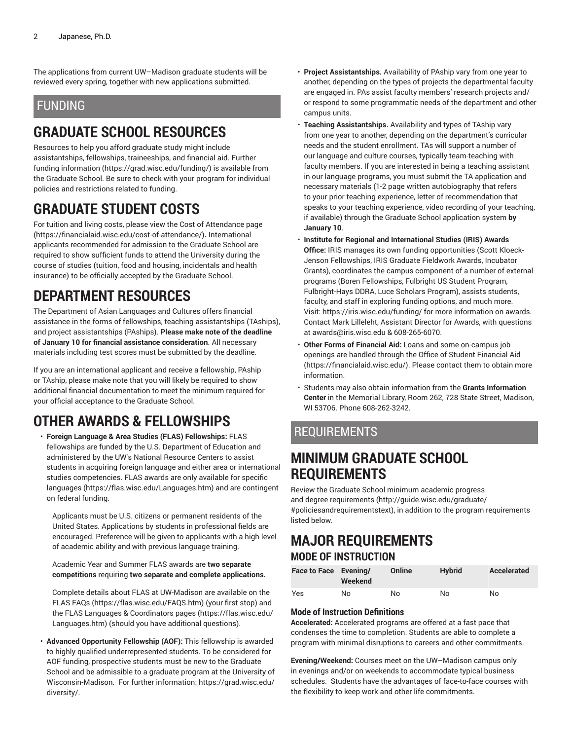The applications from current UW–Madison graduate students will be reviewed every spring, together with new applications submitted.

### FUNDING

# **GRADUATE SCHOOL RESOURCES**

Resources to help you afford graduate study might include assistantships, fellowships, traineeships, and financial aid. [Further](https://grad.wisc.edu/funding/) [funding information](https://grad.wisc.edu/funding/) ([https://grad.wisc.edu/funding/\)](https://grad.wisc.edu/funding/) is available from the Graduate School. Be sure to check with your program for individual policies and restrictions related to funding.

## **GRADUATE STUDENT COSTS**

For tuition and living costs, please view the Cost of [Attendance](https://financialaid.wisc.edu/cost-of-attendance/) page (<https://financialaid.wisc.edu/cost-of-attendance/>)**.** International applicants recommended for admission to the Graduate School are required to show sufficient funds to attend the University during the course of studies (tuition, food and housing, incidentals and health insurance) to be officially accepted by the Graduate School.

# **DEPARTMENT RESOURCES**

The Department of Asian Languages and Cultures offers financial assistance in the forms of fellowships, teaching assistantships (TAships), and project assistantships (PAships). **Please make note of the deadline of January 10 for financial assistance consideration**. All necessary materials including test scores must be submitted by the deadline.

If you are an international applicant and receive a fellowship, PAship or TAship, please make note that you will likely be required to show additional financial documentation to meet the minimum required for your official acceptance to the Graduate School.

# **OTHER AWARDS & FELLOWSHIPS**

• **Foreign Language & Area Studies (FLAS) Fellowships:** FLAS fellowships are funded by the U.S. Department of Education and administered by the UW's National Resource Centers to assist students in acquiring foreign language and either area or international studies competencies. FLAS awards are only available for [specific](https://flas.wisc.edu/Languages.htm) [languages](https://flas.wisc.edu/Languages.htm) (<https://flas.wisc.edu/Languages.htm>) and are contingent on federal funding.

Applicants must be U.S. citizens or permanent residents of the United States. Applications by students in professional fields are encouraged. Preference will be given to applicants with a high level of academic ability and with previous language training.

Academic Year and Summer FLAS awards are **two separate competitions** requiring **two separate and complete applications.**

Complete details about FLAS at UW-Madison are available on the [FLAS](https://flas.wisc.edu/FAQS.htm) FAQs [\(https://flas.wisc.edu/FAQS.htm\)](https://flas.wisc.edu/FAQS.htm) (your first stop) and the FLAS Languages & [Coordinators](https://flas.wisc.edu/Languages.htm) pages [\(https://flas.wisc.edu/](https://flas.wisc.edu/Languages.htm) [Languages.htm](https://flas.wisc.edu/Languages.htm)) (should you have additional questions).

• **Advanced Opportunity Fellowship (AOF):** This fellowship is awarded to highly qualified underrepresented students. To be considered for AOF funding, prospective students must be new to the Graduate School and be admissible to a graduate program at the University of Wisconsin-Madison. For further information: [https://grad.wisc.edu/](https://grad.wisc.edu/diversity/) [diversity/.](https://grad.wisc.edu/diversity/)

- **Project Assistantships.** Availability of PAship vary from one year to another, depending on the types of projects the departmental faculty are engaged in. PAs assist faculty members' research projects and/ or respond to some programmatic needs of the department and other campus units.
- **Teaching Assistantships.** Availability and types of TAship vary from one year to another, depending on the department's curricular needs and the student enrollment. TAs will support a number of our language and culture courses, typically team-teaching with faculty members. If you are interested in being a teaching assistant in our language programs, you must submit the TA application and necessary materials (1-2 page written autobiography that refers to your prior teaching experience, letter of recommendation that speaks to your teaching experience, video recording of your teaching, if available) through the Graduate School application system **by January 10**.
- **Institute for Regional and International Studies (IRIS) Awards Office:** IRIS manages its own funding opportunities (Scott Kloeck-Jenson Fellowships, IRIS Graduate Fieldwork Awards, Incubator Grants), coordinates the campus component of a number of external programs (Boren Fellowships, Fulbright US Student Program, Fulbright-Hays DDRA, Luce Scholars Program), assists students, faculty, and staff in exploring funding options, and much more. Visit:<https://iris.wisc.edu/funding/> for more information on awards. Contact Mark Lilleleht, Assistant Director for Awards, with questions at [awards@iris.wisc.edu](mailto:awards@iris.wisc.edu) & 608-265-6070.
- **Other Forms of Financial Aid:** Loans and some on-campus job openings are handled through the [Office of Student Financial Aid](https://financialaid.wisc.edu/) [\(https://financialaid.wisc.edu/](https://financialaid.wisc.edu/)). Please contact them to obtain more information.
- Students may also obtain information from the **Grants Information Center** in the Memorial Library, Room 262, 728 State Street, Madison, WI 53706. Phone 608-262-3242.

### REQUIREMENTS

### **MINIMUM GRADUATE SCHOOL REQUIREMENTS**

Review the Graduate School minimum [academic](http://guide.wisc.edu/graduate/#policiesandrequirementstext) progress and degree [requirements \(http://guide.wisc.edu/graduate/](http://guide.wisc.edu/graduate/#policiesandrequirementstext) [#policiesandrequirementstext\)](http://guide.wisc.edu/graduate/#policiesandrequirementstext), in addition to the program requirements listed below.

### **MAJOR REQUIREMENTS MODE OF INSTRUCTION**

| Face to Face Evening/ | Weekend | Online | <b>Hybrid</b> | Accelerated |
|-----------------------|---------|--------|---------------|-------------|
| Yes                   | No      | No     | No            | No          |

#### **Mode of Instruction Definitions**

**Accelerated:** Accelerated programs are offered at a fast pace that condenses the time to completion. Students are able to complete a program with minimal disruptions to careers and other commitments.

**Evening/Weekend:** Courses meet on the UW–Madison campus only in evenings and/or on weekends to accommodate typical business schedules. Students have the advantages of face-to-face courses with the flexibility to keep work and other life commitments.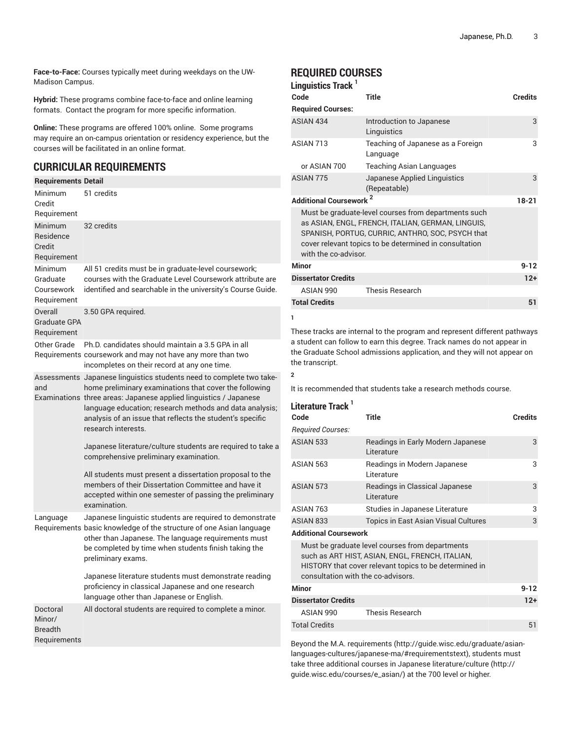**Face-to-Face:** Courses typically meet during weekdays on the UW-Madison Campus.

**Hybrid:** These programs combine face-to-face and online learning formats. Contact the program for more specific information.

**Online:** These programs are offered 100% online. Some programs may require an on-campus orientation or residency experience, but the courses will be facilitated in an online format.

#### **CURRICULAR REQUIREMENTS**

| <b>Requirements Detail</b>                           |                                                                                                                                                                                                                                                                                                                                                                                                                                                                                                                                                                                                                                           |
|------------------------------------------------------|-------------------------------------------------------------------------------------------------------------------------------------------------------------------------------------------------------------------------------------------------------------------------------------------------------------------------------------------------------------------------------------------------------------------------------------------------------------------------------------------------------------------------------------------------------------------------------------------------------------------------------------------|
| Minimum<br>Credit<br>Requirement                     | 51 credits                                                                                                                                                                                                                                                                                                                                                                                                                                                                                                                                                                                                                                |
| Minimum<br>Residence<br>Credit<br>Requirement        | 32 credits                                                                                                                                                                                                                                                                                                                                                                                                                                                                                                                                                                                                                                |
| Minimum<br>Graduate<br>Coursework<br>Requirement     | All 51 credits must be in graduate-level coursework;<br>courses with the Graduate Level Coursework attribute are<br>identified and searchable in the university's Course Guide.                                                                                                                                                                                                                                                                                                                                                                                                                                                           |
| Overall<br><b>Graduate GPA</b><br>Requirement        | 3.50 GPA required.                                                                                                                                                                                                                                                                                                                                                                                                                                                                                                                                                                                                                        |
| Other Grade                                          | Ph.D. candidates should maintain a 3.5 GPA in all<br>Requirements coursework and may not have any more than two<br>incompletes on their record at any one time.                                                                                                                                                                                                                                                                                                                                                                                                                                                                           |
| and                                                  | Assessments Japanese linguistics students need to complete two take-<br>home preliminary examinations that cover the following<br>Examinations three areas: Japanese applied linguistics / Japanese<br>language education; research methods and data analysis;<br>analysis of an issue that reflects the student's specific<br>research interests.<br>Japanese literature/culture students are required to take a<br>comprehensive preliminary examination.<br>All students must present a dissertation proposal to the<br>members of their Dissertation Committee and have it<br>accepted within one semester of passing the preliminary |
| Language                                             | examination.<br>Japanese linguistic students are required to demonstrate<br>Requirements basic knowledge of the structure of one Asian language<br>other than Japanese. The language requirements must<br>be completed by time when students finish taking the<br>preliminary exams.<br>Japanese literature students must demonstrate reading<br>proficiency in classical Japanese and one research<br>language other than Japanese or English.                                                                                                                                                                                           |
| Doctoral<br>Minor/<br><b>Breadth</b><br>Requirements | All doctoral students are required to complete a minor.                                                                                                                                                                                                                                                                                                                                                                                                                                                                                                                                                                                   |

#### **REQUIRED COURSES 1**

| Linguistics Track '          |                                                                                                                                                                                                                         |                |
|------------------------------|-------------------------------------------------------------------------------------------------------------------------------------------------------------------------------------------------------------------------|----------------|
| Code                         | Title                                                                                                                                                                                                                   | <b>Credits</b> |
| <b>Required Courses:</b>     |                                                                                                                                                                                                                         |                |
| ASIAN 434                    | Introduction to Japanese<br>Linguistics                                                                                                                                                                                 | 3              |
| ASIAN 713                    | Teaching of Japanese as a Foreign<br>Language                                                                                                                                                                           | 3              |
| or ASIAN 700                 | Teaching Asian Languages                                                                                                                                                                                                |                |
| ASIAN 775                    | Japanese Applied Linguistics<br>(Repeatable)                                                                                                                                                                            | 3              |
| <b>Additional Coursework</b> |                                                                                                                                                                                                                         | $18 - 21$      |
| with the co-advisor.         | Must be graduate-level courses from departments such<br>as ASIAN, ENGL, FRENCH, ITALIAN, GERMAN, LINGUIS,<br>SPANISH, PORTUG, CURRIC, ANTHRO, SOC, PSYCH that<br>cover relevant topics to be determined in consultation |                |
| Minor                        |                                                                                                                                                                                                                         | $9 - 12$       |
| <b>Dissertator Credits</b>   |                                                                                                                                                                                                                         | $12+$          |
| ASIAN 990                    | <b>Thesis Research</b>                                                                                                                                                                                                  |                |
| <b>Total Credits</b>         |                                                                                                                                                                                                                         | 51             |
| 1                            |                                                                                                                                                                                                                         |                |

These tracks are internal to the program and represent different pathways a student can follow to earn this degree. Track names do not appear in the Graduate School admissions application, and they will not appear on the transcript.

#### **2**

It is recommended that students take a research methods course.

#### **Literature Track 1**

| Code                               | <b>Title</b>                                                                                                                                                 | <b>Credits</b> |
|------------------------------------|--------------------------------------------------------------------------------------------------------------------------------------------------------------|----------------|
| <b>Required Courses:</b>           |                                                                                                                                                              |                |
| ASIAN 533                          | Readings in Early Modern Japanese<br>Literature                                                                                                              | 3              |
| ASIAN 563                          | Readings in Modern Japanese<br>Literature                                                                                                                    | 3              |
| ASIAN 573                          | Readings in Classical Japanese<br>Literature                                                                                                                 | 3              |
| ASIAN 763                          | Studies in Japanese Literature                                                                                                                               | 3              |
| ASIAN 833                          | <b>Topics in East Asian Visual Cultures</b>                                                                                                                  | 3              |
| <b>Additional Coursework</b>       |                                                                                                                                                              |                |
| consultation with the co-advisors. | Must be graduate level courses from departments<br>such as ART HIST, ASIAN, ENGL, FRENCH, ITALIAN,<br>HISTORY that cover relevant topics to be determined in |                |
|                                    |                                                                                                                                                              |                |

| Minor               |                 | $9 - 12$ |
|---------------------|-----------------|----------|
| Dissertator Credits |                 | $12+$    |
| ASIAN 990           | Thesis Research |          |
| Total Credits       |                 | 51       |

Beyond the M.A. [requirements \(http://guide.wisc.edu/graduate/asian](http://guide.wisc.edu/graduate/asian-languages-cultures/japanese-ma/#requirementstext)[languages-cultures/japanese-ma/#requirementstext](http://guide.wisc.edu/graduate/asian-languages-cultures/japanese-ma/#requirementstext)), students must take three additional courses in Japanese [literature/culture \(http://](http://guide.wisc.edu/courses/e_asian/) [guide.wisc.edu/courses/e\\_asian/](http://guide.wisc.edu/courses/e_asian/)) at the 700 level or higher.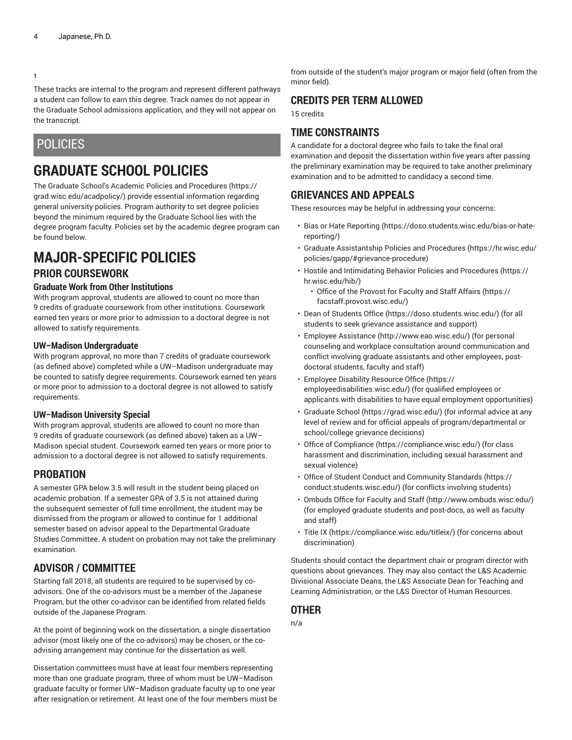#### **1**

These tracks are internal to the program and represent different pathways a student can follow to earn this degree. Track names do not appear in the Graduate School admissions application, and they will not appear on the transcript.

#### POLICIES

## **GRADUATE SCHOOL POLICIES**

The Graduate School's Academic Policies and [Procedures](https://grad.wisc.edu/acadpolicy/) ([https://](https://grad.wisc.edu/acadpolicy/) [grad.wisc.edu/acadpolicy/\)](https://grad.wisc.edu/acadpolicy/) provide essential information regarding general university policies. Program authority to set degree policies beyond the minimum required by the Graduate School lies with the degree program faculty. Policies set by the academic degree program can be found below.

# **MAJOR-SPECIFIC POLICIES**

#### **PRIOR COURSEWORK**

#### **Graduate Work from Other Institutions**

With program approval, students are allowed to count no more than 9 credits of graduate coursework from other institutions. Coursework earned ten years or more prior to admission to a doctoral degree is not allowed to satisfy requirements.

#### **UW–Madison Undergraduate**

With program approval, no more than 7 credits of graduate coursework (as defined above) completed while a UW–Madison undergraduate may be counted to satisfy degree requirements. Coursework earned ten years or more prior to admission to a doctoral degree is not allowed to satisfy requirements.

#### **UW–Madison University Special**

With program approval, students are allowed to count no more than 9 credits of graduate coursework (as defined above) taken as a UW– Madison special student. Coursework earned ten years or more prior to admission to a doctoral degree is not allowed to satisfy requirements.

#### **PROBATION**

A semester GPA below 3.5 will result in the student being placed on academic probation. If a semester GPA of 3.5 is not attained during the subsequent semester of full time enrollment, the student may be dismissed from the program or allowed to continue for 1 additional semester based on advisor appeal to the Departmental Graduate Studies Committee. A student on probation may not take the preliminary examination.

#### **ADVISOR / COMMITTEE**

Starting fall 2018, all students are required to be supervised by coadvisors. One of the co-advisors must be a member of the Japanese Program, but the other co-advisor can be identified from related fields outside of the Japanese Program.

At the point of beginning work on the dissertation, a single dissertation advisor (most likely one of the co-advisors) may be chosen, or the coadvising arrangement may continue for the dissertation as well.

Dissertation committees must have at least four members representing more than one graduate program, three of whom must be UW–Madison graduate faculty or former UW–Madison graduate faculty up to one year after resignation or retirement. At least one of the four members must be

from outside of the student's major program or major field (often from the minor field).

#### **CREDITS PER TERM ALLOWED**

15 credits

#### **TIME CONSTRAINTS**

A candidate for a doctoral degree who fails to take the final oral examination and deposit the dissertation within five years after passing the preliminary examination may be required to take another preliminary examination and to be admitted to candidacy a second time.

#### **GRIEVANCES AND APPEALS**

These resources may be helpful in addressing your concerns:

- Bias or Hate [Reporting \(https://doso.students.wisc.edu/bias-or-hate](https://doso.students.wisc.edu/bias-or-hate-reporting/)[reporting/](https://doso.students.wisc.edu/bias-or-hate-reporting/))
- Graduate [Assistantship](https://hr.wisc.edu/policies/gapp/#grievance-procedure) Policies and Procedures [\(https://hr.wisc.edu/](https://hr.wisc.edu/policies/gapp/#grievance-procedure) [policies/gapp/#grievance-procedure](https://hr.wisc.edu/policies/gapp/#grievance-procedure))
- Hostile and [Intimidating](https://hr.wisc.edu/hib/) Behavior Policies and Procedures [\(https://](https://hr.wisc.edu/hib/) [hr.wisc.edu/hib/\)](https://hr.wisc.edu/hib/)
	- Office of the [Provost](https://facstaff.provost.wisc.edu/) for Faculty and Staff Affairs [\(https://](https://facstaff.provost.wisc.edu/) [facstaff.provost.wisc.edu/](https://facstaff.provost.wisc.edu/))
- [Dean of Students Office \(https://doso.students.wisc.edu/\)](https://doso.students.wisc.edu/) (for all students to seek grievance assistance and support)
- Employee [Assistance](http://www.eao.wisc.edu/) [\(http://www.eao.wisc.edu/\)](http://www.eao.wisc.edu/) (for personal counseling and workplace consultation around communication and conflict involving graduate assistants and other employees, postdoctoral students, faculty and staff)
- [Employee](https://employeedisabilities.wisc.edu/) Disability Resource Office [\(https://](https://employeedisabilities.wisc.edu/) [employeedisabilities.wisc.edu/](https://employeedisabilities.wisc.edu/)) (for qualified employees or applicants with disabilities to have equal employment opportunities)
- [Graduate School](https://grad.wisc.edu/) ([https://grad.wisc.edu/\)](https://grad.wisc.edu/) (for informal advice at any level of review and for official appeals of program/departmental or school/college grievance decisions)
- [Office of Compliance](https://compliance.wisc.edu/) ([https://compliance.wisc.edu/\)](https://compliance.wisc.edu/) (for class harassment and discrimination, including sexual harassment and sexual violence)
- Office of Student Conduct and [Community](https://conduct.students.wisc.edu/) Standards ([https://](https://conduct.students.wisc.edu/) [conduct.students.wisc.edu/](https://conduct.students.wisc.edu/)) (for conflicts involving students)
- [Ombuds](http://www.ombuds.wisc.edu/) Office for Faculty and Staff ([http://www.ombuds.wisc.edu/\)](http://www.ombuds.wisc.edu/) (for employed graduate students and post-docs, as well as faculty and staff)
- [Title](https://compliance.wisc.edu/titleix/) IX [\(https://compliance.wisc.edu/titleix/\)](https://compliance.wisc.edu/titleix/) (for concerns about discrimination)

Students should contact the department chair or program director with questions about grievances. They may also contact the L&S Academic Divisional Associate Deans, the L&S Associate Dean for Teaching and Learning Administration, or the L&S Director of Human Resources.

#### **OTHER**

n/a